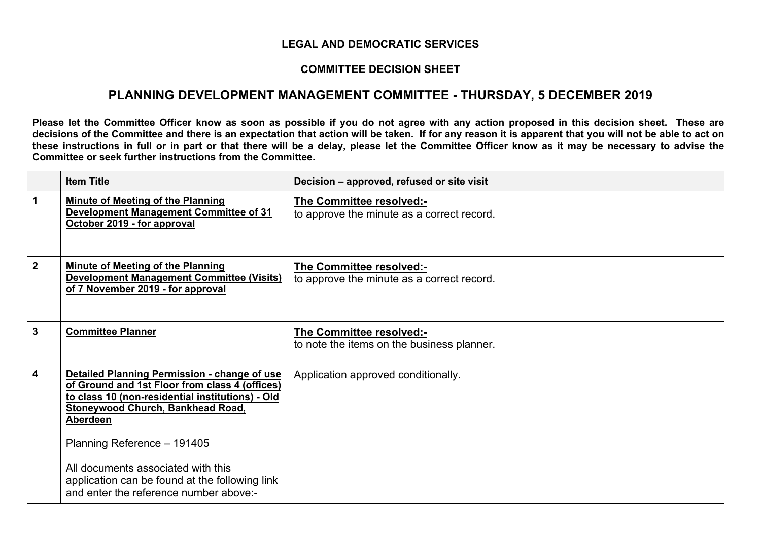## **LEGAL AND DEMOCRATIC SERVICES**

## **COMMITTEE DECISION SHEET**

## **PLANNING DEVELOPMENT MANAGEMENT COMMITTEE - THURSDAY, 5 DECEMBER 2019**

Please let the Committee Officer know as soon as possible if you do not agree with any action proposed in this decision sheet. These are decisions of the Committee and there is an expectation that action will be taken. If for any reason it is apparent that you will not be able to act on these instructions in full or in part or that there will be a delay, please let the Committee Officer know as it may be necessary to advise the **Committee or seek further instructions from the Committee.**

|              | <b>Item Title</b>                                                                                                                                                                                                                                                                                                                                                                  | Decision – approved, refused or site visit                             |
|--------------|------------------------------------------------------------------------------------------------------------------------------------------------------------------------------------------------------------------------------------------------------------------------------------------------------------------------------------------------------------------------------------|------------------------------------------------------------------------|
| $\mathbf 1$  | <b>Minute of Meeting of the Planning</b><br><b>Development Management Committee of 31</b><br>October 2019 - for approval                                                                                                                                                                                                                                                           | The Committee resolved:-<br>to approve the minute as a correct record. |
| $\mathbf{2}$ | <b>Minute of Meeting of the Planning</b><br>Development Management Committee (Visits)<br>of 7 November 2019 - for approval                                                                                                                                                                                                                                                         | The Committee resolved:-<br>to approve the minute as a correct record. |
| 3            | <b>Committee Planner</b>                                                                                                                                                                                                                                                                                                                                                           | The Committee resolved:-<br>to note the items on the business planner. |
| 4            | Detailed Planning Permission - change of use<br>of Ground and 1st Floor from class 4 (offices)<br>to class 10 (non-residential institutions) - Old<br><b>Stoneywood Church, Bankhead Road,</b><br><b>Aberdeen</b><br>Planning Reference - 191405<br>All documents associated with this<br>application can be found at the following link<br>and enter the reference number above:- | Application approved conditionally.                                    |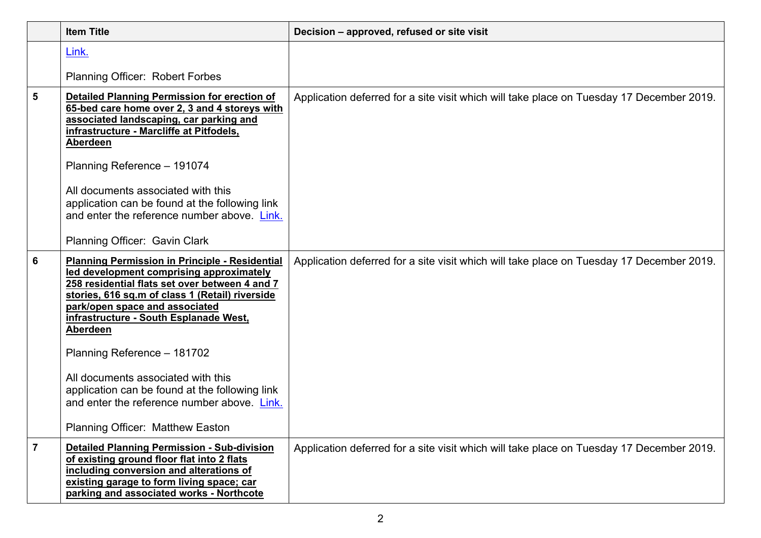|                         | <b>Item Title</b>                                                                                                                                                                                                                                                                                                                                                             | Decision - approved, refused or site visit                                               |
|-------------------------|-------------------------------------------------------------------------------------------------------------------------------------------------------------------------------------------------------------------------------------------------------------------------------------------------------------------------------------------------------------------------------|------------------------------------------------------------------------------------------|
|                         | Link.                                                                                                                                                                                                                                                                                                                                                                         |                                                                                          |
|                         | <b>Planning Officer: Robert Forbes</b>                                                                                                                                                                                                                                                                                                                                        |                                                                                          |
| 5                       | <b>Detailed Planning Permission for erection of</b><br>65-bed care home over 2, 3 and 4 storeys with<br>associated landscaping, car parking and<br>infrastructure - Marcliffe at Pitfodels,<br>Aberdeen<br>Planning Reference - 191074<br>All documents associated with this<br>application can be found at the following link<br>and enter the reference number above. Link. | Application deferred for a site visit which will take place on Tuesday 17 December 2019. |
|                         | Planning Officer: Gavin Clark                                                                                                                                                                                                                                                                                                                                                 |                                                                                          |
| 6                       | <b>Planning Permission in Principle - Residential</b><br>led development comprising approximately<br>258 residential flats set over between 4 and 7<br>stories, 616 sq.m of class 1 (Retail) riverside<br>park/open space and associated<br>infrastructure - South Esplanade West,<br><b>Aberdeen</b><br>Planning Reference - 181702                                          | Application deferred for a site visit which will take place on Tuesday 17 December 2019. |
|                         | All documents associated with this<br>application can be found at the following link<br>and enter the reference number above. Link.                                                                                                                                                                                                                                           |                                                                                          |
|                         | Planning Officer: Matthew Easton                                                                                                                                                                                                                                                                                                                                              |                                                                                          |
| $\overline{\mathbf{z}}$ | <b>Detailed Planning Permission - Sub-division</b><br>of existing ground floor flat into 2 flats<br>including conversion and alterations of<br>existing garage to form living space; car<br>parking and associated works - Northcote                                                                                                                                          | Application deferred for a site visit which will take place on Tuesday 17 December 2019. |